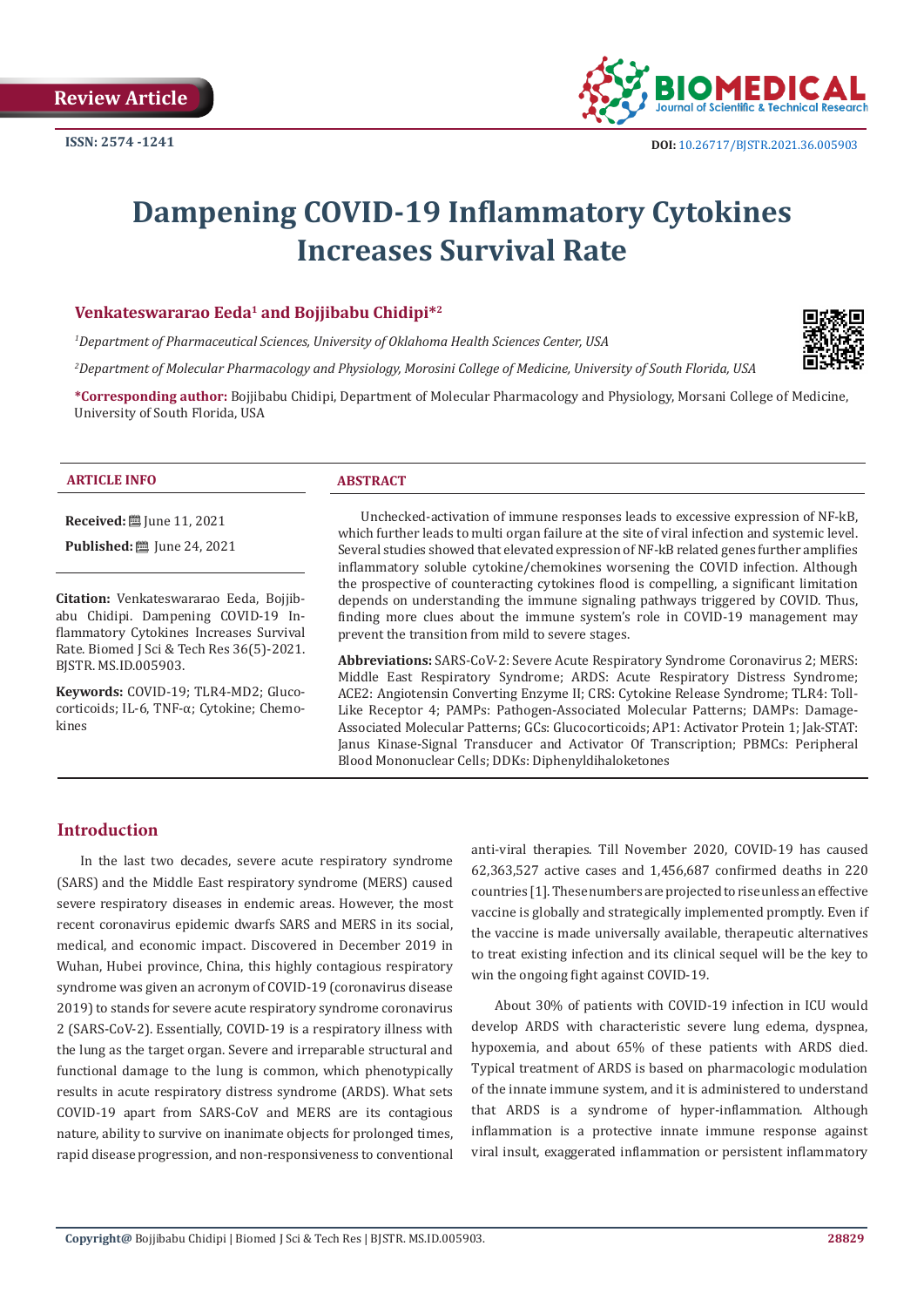

# **Dampening COVID-19 Inflammatory Cytokines Increases Survival Rate**

#### **Venkateswararao Eeda<sup>1</sup> and Bojjibabu Chidipi\*<sup>2</sup>**

*1 Department of Pharmaceutical Sciences, University of Oklahoma Health Sciences Center, USA*

*2 Department of Molecular Pharmacology and Physiology, Morosini College of Medicine, University of South Florida, USA*



**\*Corresponding author:** Bojjibabu Chidipi, Department of Molecular Pharmacology and Physiology, Morsani College of Medicine, University of South Florida, USA

#### **ARTICLE INFO ABSTRACT**

**Received:** ■ June 11, 2021

**Published:** [Une 24, 2021]

**Citation:** Venkateswararao Eeda, Bojjibabu Chidipi. Dampening COVID-19 Inflammatory Cytokines Increases Survival Rate. Biomed J Sci & Tech Res 36(5)-2021. BJSTR. MS.ID.005903.

**Keywords:** COVID-19; TLR4-MD2; Glucocorticoids; IL-6, TNF-α; Cytokine; Chemokines

Unchecked-activation of immune responses leads to excessive expression of NF-kB, which further leads to multi organ failure at the site of viral infection and systemic level. Several studies showed that elevated expression of NF-kB related genes further amplifies inflammatory soluble cytokine/chemokines worsening the COVID infection. Although the prospective of counteracting cytokines flood is compelling, a significant limitation depends on understanding the immune signaling pathways triggered by COVID. Thus, finding more clues about the immune system's role in COVID-19 management may prevent the transition from mild to severe stages.

**Abbreviations:** SARS-CoV-2: Severe Acute Respiratory Syndrome Coronavirus 2; MERS: Middle East Respiratory Syndrome; ARDS: Acute Respiratory Distress Syndrome; ACE2: Angiotensin Converting Enzyme II; CRS: Cytokine Release Syndrome; TLR4: Toll-Like Receptor 4; PAMPs: Pathogen-Associated Molecular Patterns; DAMPs: Damage-Associated Molecular Patterns; GCs: Glucocorticoids; AP1: Activator Protein 1; Jak-STAT: Janus Kinase-Signal Transducer and Activator Of Transcription; PBMCs: Peripheral Blood Mononuclear Cells; DDKs: Diphenyldihaloketones

#### **Introduction**

In the last two decades, severe acute respiratory syndrome (SARS) and the Middle East respiratory syndrome (MERS) caused severe respiratory diseases in endemic areas. However, the most recent coronavirus epidemic dwarfs SARS and MERS in its social, medical, and economic impact. Discovered in December 2019 in Wuhan, Hubei province, China, this highly contagious respiratory syndrome was given an acronym of COVID-19 (coronavirus disease 2019) to stands for severe acute respiratory syndrome coronavirus 2 (SARS-CoV-2). Essentially, COVID-19 is a respiratory illness with the lung as the target organ. Severe and irreparable structural and functional damage to the lung is common, which phenotypically results in acute respiratory distress syndrome (ARDS). What sets COVID-19 apart from SARS-CoV and MERS are its contagious nature, ability to survive on inanimate objects for prolonged times, rapid disease progression, and non-responsiveness to conventional

anti-viral therapies. Till November 2020, COVID-19 has caused 62,363,527 active cases and 1,456,687 confirmed deaths in 220 countries [1]. These numbers are projected to rise unless an effective vaccine is globally and strategically implemented promptly. Even if the vaccine is made universally available, therapeutic alternatives to treat existing infection and its clinical sequel will be the key to win the ongoing fight against COVID-19.

About 30% of patients with COVID-19 infection in ICU would develop ARDS with characteristic severe lung edema, dyspnea, hypoxemia, and about 65% of these patients with ARDS died. Typical treatment of ARDS is based on pharmacologic modulation of the innate immune system, and it is administered to understand that ARDS is a syndrome of hyper-inflammation. Although inflammation is a protective innate immune response against viral insult, exaggerated inflammation or persistent inflammatory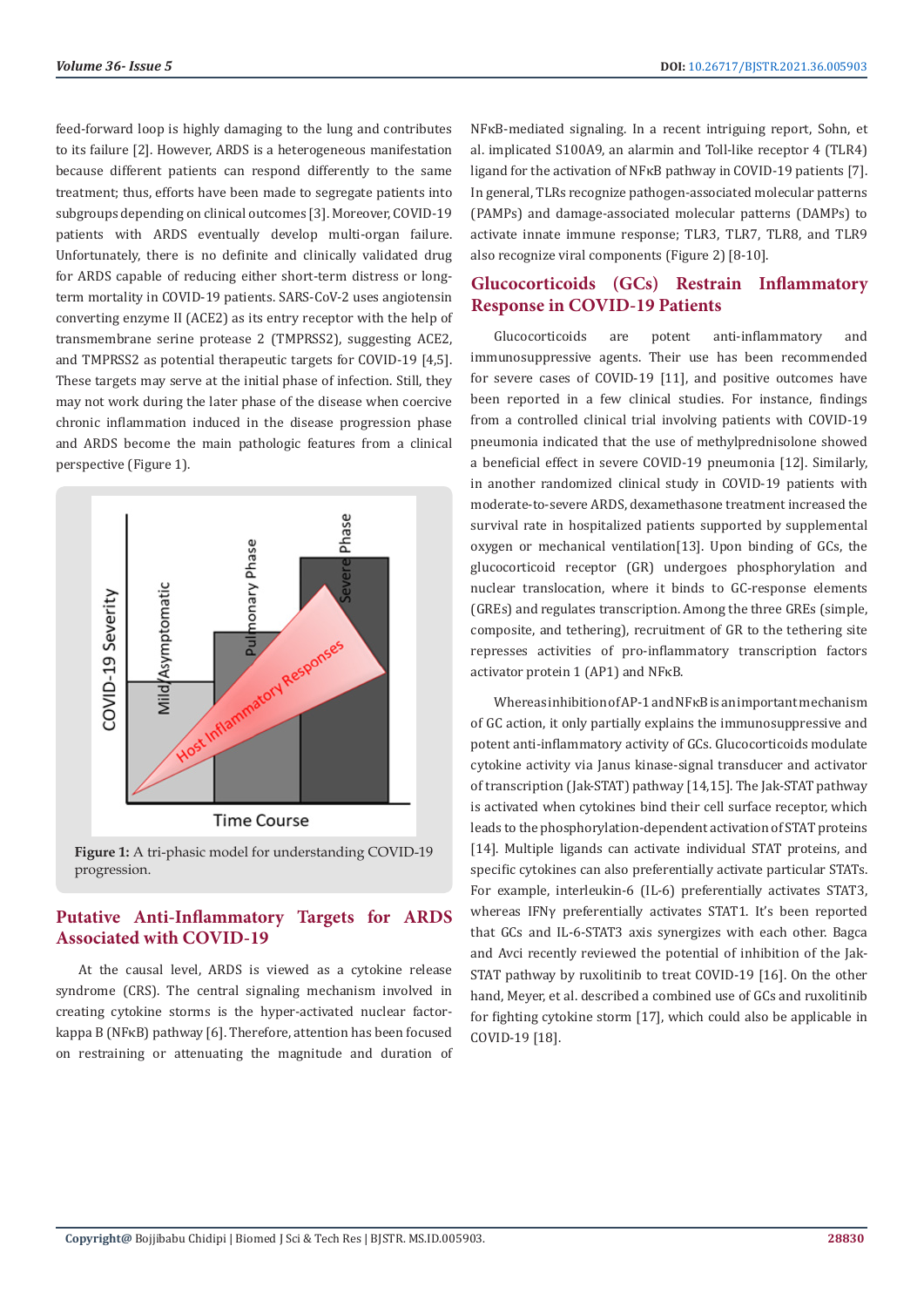feed-forward loop is highly damaging to the lung and contributes to its failure [2]. However, ARDS is a heterogeneous manifestation because different patients can respond differently to the same treatment; thus, efforts have been made to segregate patients into subgroups depending on clinical outcomes [3]. Moreover, COVID-19 patients with ARDS eventually develop multi-organ failure. Unfortunately, there is no definite and clinically validated drug for ARDS capable of reducing either short-term distress or longterm mortality in COVID-19 patients. SARS-CoV-2 uses angiotensin converting enzyme II (ACE2) as its entry receptor with the help of transmembrane serine protease 2 (TMPRSS2), suggesting ACE2, and TMPRSS2 as potential therapeutic targets for COVID-19 [4,5]. These targets may serve at the initial phase of infection. Still, they may not work during the later phase of the disease when coercive chronic inflammation induced in the disease progression phase and ARDS become the main pathologic features from a clinical perspective (Figure 1).



**Figure 1:** A tri-phasic model for understanding COVID-19 progression.

# **Putative Anti-Inflammatory Targets for ARDS Associated with COVID-19**

At the causal level, ARDS is viewed as a cytokine release syndrome (CRS). The central signaling mechanism involved in creating cytokine storms is the hyper-activated nuclear factorkappa B (NFκB) pathway [6]. Therefore, attention has been focused on restraining or attenuating the magnitude and duration of NFκB-mediated signaling. In a recent intriguing report, Sohn, et al. implicated S100A9, an alarmin and Toll-like receptor 4 (TLR4) ligand for the activation of NFκB pathway in COVID-19 patients [7]. In general, TLRs recognize pathogen-associated molecular patterns (PAMPs) and damage-associated molecular patterns (DAMPs) to activate innate immune response; TLR3, TLR7, TLR8, and TLR9 also recognize viral components (Figure 2) [8-10].

# **Glucocorticoids (GCs) Restrain Inflammatory Response in COVID-19 Patients**

Glucocorticoids are potent anti-inflammatory and immunosuppressive agents. Their use has been recommended for severe cases of COVID-19 [11], and positive outcomes have been reported in a few clinical studies. For instance, findings from a controlled clinical trial involving patients with COVID-19 pneumonia indicated that the use of methylprednisolone showed a beneficial effect in severe COVID-19 pneumonia [12]. Similarly, in another randomized clinical study in COVID-19 patients with moderate-to-severe ARDS, dexamethasone treatment increased the survival rate in hospitalized patients supported by supplemental oxygen or mechanical ventilation[13]. Upon binding of GCs, the glucocorticoid receptor (GR) undergoes phosphorylation and nuclear translocation, where it binds to GC-response elements (GREs) and regulates transcription. Among the three GREs (simple, composite, and tethering), recruitment of GR to the tethering site represses activities of pro-inflammatory transcription factors activator protein 1 (AP1) and NFκB.

Whereas inhibition of AP-1 and NFκB is an important mechanism of GC action, it only partially explains the immunosuppressive and potent anti-inflammatory activity of GCs. Glucocorticoids modulate cytokine activity via Janus kinase-signal transducer and activator of transcription (Jak-STAT) pathway [14,15]. The Jak-STAT pathway is activated when cytokines bind their cell surface receptor, which leads to the phosphorylation-dependent activation of STAT proteins [14]. Multiple ligands can activate individual STAT proteins, and specific cytokines can also preferentially activate particular STATs. For example, interleukin-6 (IL-6) preferentially activates STAT3, whereas IFNγ preferentially activates STAT1. It's been reported that GCs and IL-6-STAT3 axis synergizes with each other. Bagca and Avci recently reviewed the potential of inhibition of the Jak-STAT pathway by ruxolitinib to treat COVID-19 [16]. On the other hand, Meyer, et al. described a combined use of GCs and ruxolitinib for fighting cytokine storm [17], which could also be applicable in COVID-19 [18].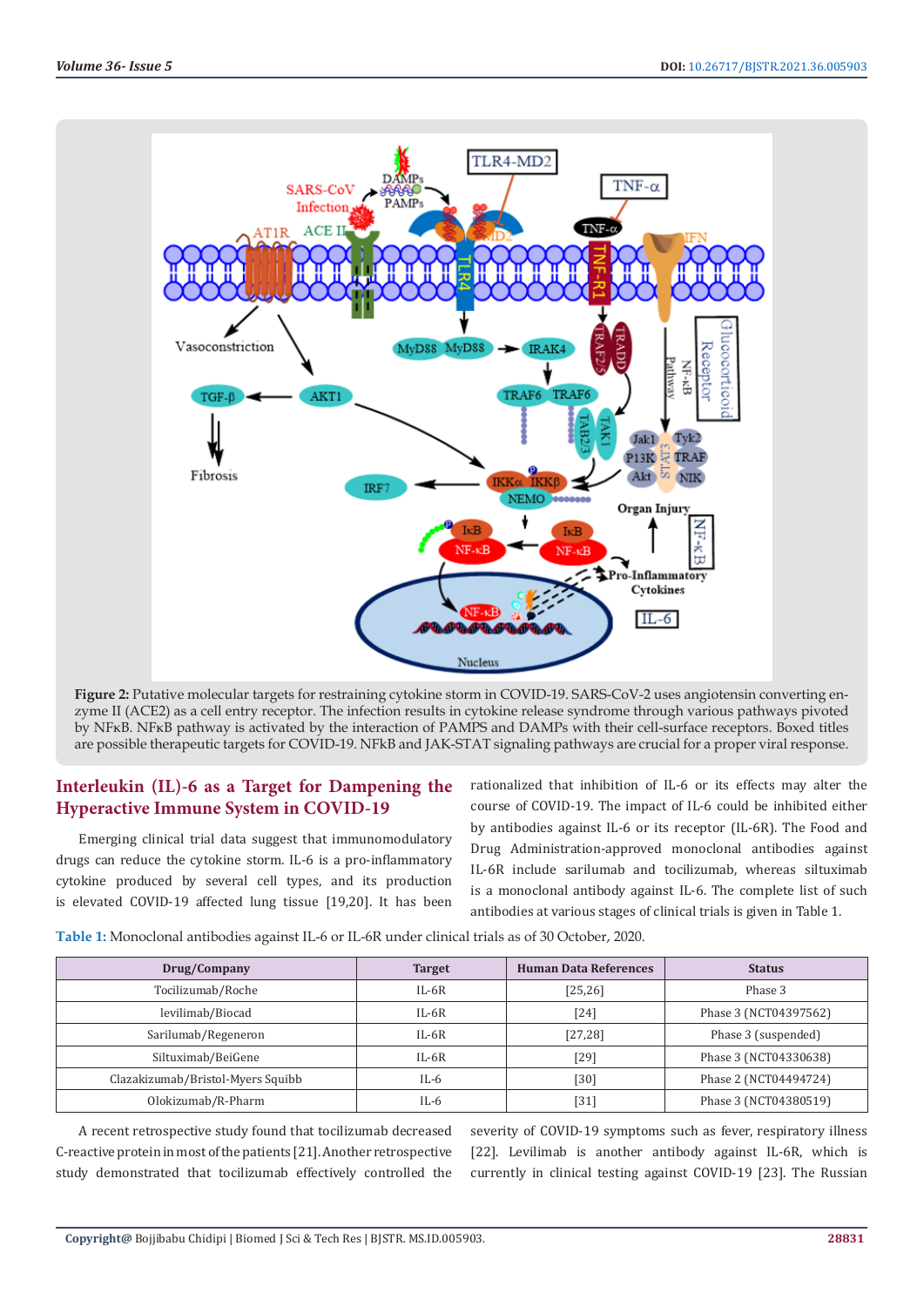

**Figure 2:** Putative molecular targets for restraining cytokine storm in COVID-19. SARS-CoV-2 uses angiotensin converting enzyme II (ACE2) as a cell entry receptor. The infection results in cytokine release syndrome through various pathways pivoted by NFκB. NFκB pathway is activated by the interaction of PAMPS and DAMPs with their cell-surface receptors. Boxed titles are possible therapeutic targets for COVID-19. NFkB and JAK-STAT signaling pathways are crucial for a proper viral response.

# **Interleukin (IL)-6 as a Target for Dampening the Hyperactive Immune System in COVID-19**

Emerging clinical trial data suggest that immunomodulatory drugs can reduce the cytokine storm. IL-6 is a pro-inflammatory cytokine produced by several cell types, and its production is elevated COVID-19 affected lung tissue [19,20]. It has been rationalized that inhibition of IL-6 or its effects may alter the course of COVID-19. The impact of IL-6 could be inhibited either by antibodies against IL-6 or its receptor (IL-6R). The Food and Drug Administration-approved monoclonal antibodies against IL-6R include sarilumab and tocilizumab, whereas siltuximab is a monoclonal antibody against IL-6. The complete list of such antibodies at various stages of clinical trials is given in Table 1.

**Table 1:** Monoclonal antibodies against IL-6 or IL-6R under clinical trials as of 30 October, 2020.

| Drug/Company                      | <b>Target</b> | <b>Human Data References</b> | <b>Status</b>         |
|-----------------------------------|---------------|------------------------------|-----------------------|
| Tocilizumab/Roche                 | $IL-6R$       | [25, 26]                     | Phase 3               |
| levilimab/Biocad                  | $IL-6R$       | [24]                         | Phase 3 (NCT04397562) |
| Sarilumab/Regeneron               | $IL-6R$       | [27, 28]                     | Phase 3 (suspended)   |
| Siltuximab/BeiGene                | $IL-6R$       | [29]                         | Phase 3 (NCT04330638) |
| Clazakizumab/Bristol-Myers Squibb | $IL-6$        | $[30]$                       | Phase 2 (NCT04494724) |
| Olokizumab/R-Pharm                | IL-6          | $[31]$                       | Phase 3 (NCT04380519) |

A recent retrospective study found that tocilizumab decreased C-reactive protein in most of the patients [21]. Another retrospective study demonstrated that tocilizumab effectively controlled the severity of COVID-19 symptoms such as fever, respiratory illness [22]. Levilimab is another antibody against IL-6R, which is currently in clinical testing against COVID-19 [23]. The Russian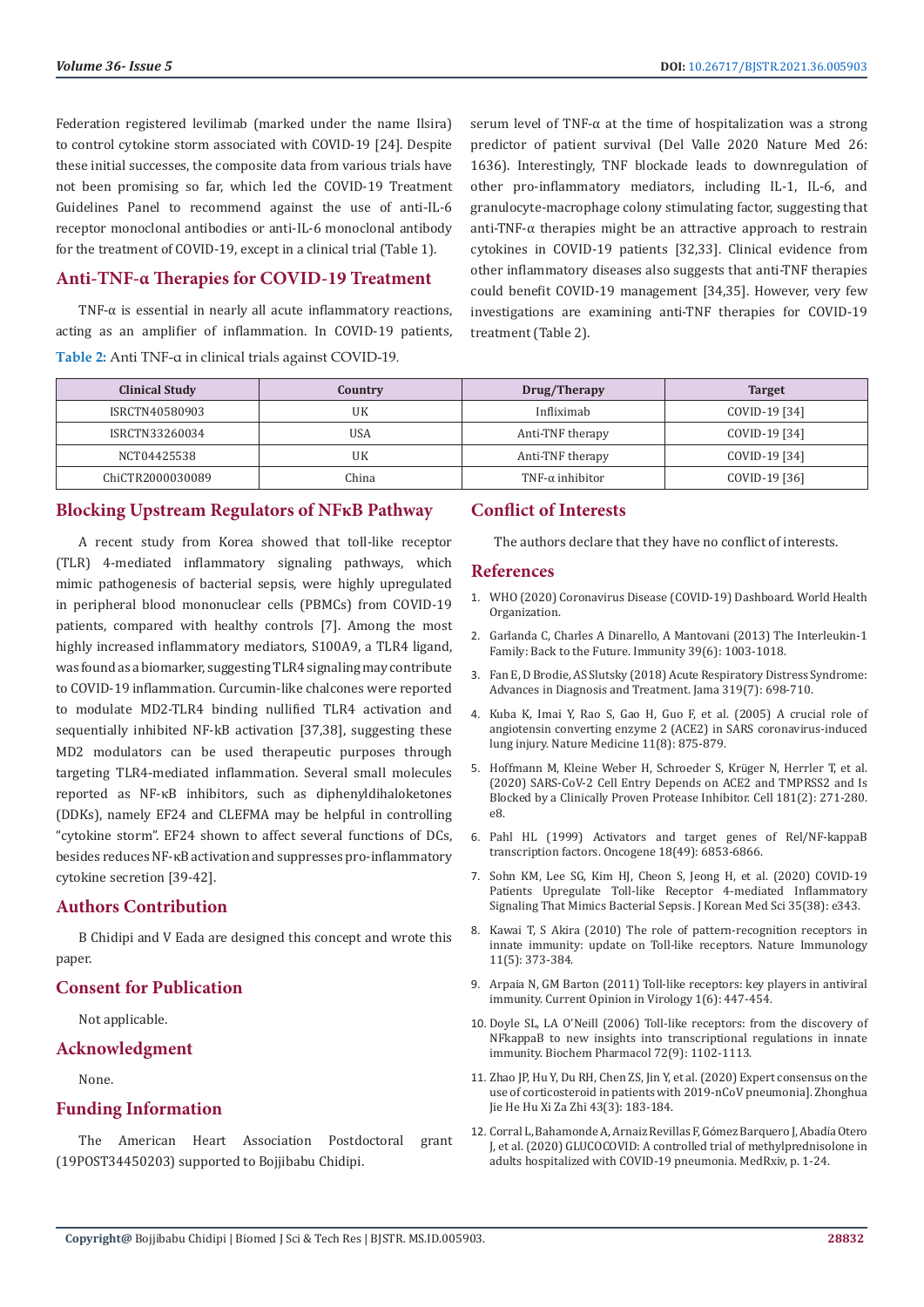Federation registered levilimab (marked under the name Ilsira) to control cytokine storm associated with COVID-19 [24]. Despite these initial successes, the composite data from various trials have not been promising so far, which led the COVID-19 Treatment Guidelines Panel to recommend against the use of anti-IL-6 receptor monoclonal antibodies or anti-IL-6 monoclonal antibody for the treatment of COVID-19, except in a clinical trial (Table 1).

### **Anti-TNF-α Therapies for COVID-19 Treatment**

TNF- $\alpha$  is essential in nearly all acute inflammatory reactions, acting as an amplifier of inflammation. In COVID-19 patients, **Table 2:** Anti TNF-α in clinical trials against COVID-19.

serum level of TNF-α at the time of hospitalization was a strong predictor of patient survival (Del Valle 2020 Nature Med 26: 1636). Interestingly, TNF blockade leads to downregulation of other pro-inflammatory mediators, including IL-1, IL-6, and granulocyte-macrophage colony stimulating factor, suggesting that anti-TNF-α therapies might be an attractive approach to restrain cytokines in COVID-19 patients [32,33]. Clinical evidence from other inflammatory diseases also suggests that anti-TNF therapies could benefit COVID-19 management [34,35]. However, very few investigations are examining anti-TNF therapies for COVID-19 treatment (Table 2).

| <b>Clinical Study</b> | Country | Drug/Therapy           | <b>Target</b> |
|-----------------------|---------|------------------------|---------------|
| ISRCTN40580903        | UK      | Infliximab             | COVID-19 [34] |
| ISRCTN33260034        | USA     | Anti-TNF therapy       | COVID-19 [34] |
| NCT04425538           | UK      | Anti-TNF therapy       | COVID-19 [34] |
| ChiCTR2000030089      | China   | $TNF-\alpha$ inhibitor | COVID-19 [36] |

#### **Blocking Upstream Regulators of NFκB Pathway**

A recent study from Korea showed that toll-like receptor (TLR) 4-mediated inflammatory signaling pathways, which mimic pathogenesis of bacterial sepsis, were highly upregulated in peripheral blood mononuclear cells (PBMCs) from COVID-19 patients, compared with healthy controls [7]. Among the most highly increased inflammatory mediators, S100A9, a TLR4 ligand, was found as a biomarker, suggesting TLR4 signaling may contribute to COVID-19 inflammation. Curcumin-like chalcones were reported to modulate MD2-TLR4 binding nullified TLR4 activation and sequentially inhibited NF-kB activation [37,38], suggesting these MD2 modulators can be used therapeutic purposes through targeting TLR4-mediated inflammation. Several small molecules reported as NF-κB inhibitors, such as diphenyldihaloketones (DDKs), namely EF24 and CLEFMA may be helpful in controlling "cytokine storm". EF24 shown to affect several functions of DCs, besides reduces NF-κB activation and suppresses pro-inflammatory cytokine secretion [39-42].

#### **Authors Contribution**

B Chidipi and V Eada are designed this concept and wrote this paper.

#### **Consent for Publication**

Not applicable.

#### **Acknowledgment**

None.

#### **Funding Information**

The American Heart Association Postdoctoral grant (19POST34450203) supported to Bojjibabu Chidipi.

## **Conflict of Interests**

The authors declare that they have no conflict of interests.

#### **References**

- 1. [WHO \(2020\) Coronavirus Disease \(COVID-19\) Dashboard. World Health](https://www.who.int/emergencies/diseases/novel-coronavirus-2019) [Organization.](https://www.who.int/emergencies/diseases/novel-coronavirus-2019)
- 2. [Garlanda C, Charles A Dinarello, A Mantovani \(2013\) The Interleukin-1](https://pubmed.ncbi.nlm.nih.gov/24332029/) [Family: Back to the Future. Immunity 39\(6\): 1003-1018.](https://pubmed.ncbi.nlm.nih.gov/24332029/)
- 3. [Fan E, D Brodie, AS Slutsky \(2018\) Acute Respiratory Distress Syndrome:](https://pubmed.ncbi.nlm.nih.gov/29466596/) [Advances in Diagnosis and Treatment. Jama 319\(7\): 698-710.](https://pubmed.ncbi.nlm.nih.gov/29466596/)
- 4. [Kuba K, Imai Y, Rao S, Gao H, Guo F, et al. \(2005\) A crucial role of](https://pubmed.ncbi.nlm.nih.gov/16007097/) [angiotensin converting enzyme 2 \(ACE2\) in SARS coronavirus-induced](https://pubmed.ncbi.nlm.nih.gov/16007097/) [lung injury. Nature Medicine 11\(8\): 875-879.](https://pubmed.ncbi.nlm.nih.gov/16007097/)
- 5. [Hoffmann M, Kleine Weber H, Schroeder S, Kr](https://pubmed.ncbi.nlm.nih.gov/32142651/)üger N, Herrler T, et al. [\(2020\) SARS-CoV-2 Cell Entry Depends on ACE2 and TMPRSS2 and Is](https://pubmed.ncbi.nlm.nih.gov/32142651/) [Blocked by a Clinically Proven Protease Inhibitor. Cell 181\(2\): 271-280.](https://pubmed.ncbi.nlm.nih.gov/32142651/) [e8.](https://pubmed.ncbi.nlm.nih.gov/32142651/)
- 6. [Pahl HL \(1999\) Activators and target genes of Rel/NF-kappaB](https://pubmed.ncbi.nlm.nih.gov/10602461/) [transcription factors. Oncogene 18\(49\): 6853-6866.](https://pubmed.ncbi.nlm.nih.gov/10602461/)
- 7. [Sohn KM, Lee SG, Kim HJ, Cheon S, Jeong H, et al. \(2020\) COVID-19](https://pubmed.ncbi.nlm.nih.gov/32989935/) [Patients Upregulate Toll-like Receptor 4-mediated Inflammatory](https://pubmed.ncbi.nlm.nih.gov/32989935/) [Signaling That Mimics Bacterial Sepsis. J Korean Med Sci 35\(38\): e343.](https://pubmed.ncbi.nlm.nih.gov/32989935/)
- 8. [Kawai T, S Akira \(2010\) The role of pattern-recognition receptors in](https://pubmed.ncbi.nlm.nih.gov/20404851/) [innate immunity: update on Toll-like receptors. Nature Immunology](https://pubmed.ncbi.nlm.nih.gov/20404851/) [11\(5\): 373-384.](https://pubmed.ncbi.nlm.nih.gov/20404851/)
- 9. [Arpaia N, GM Barton \(2011\) Toll-like receptors: key players in antiviral](https://pubmed.ncbi.nlm.nih.gov/22440908/) [immunity. Current Opinion in Virology 1\(6\): 447-454.](https://pubmed.ncbi.nlm.nih.gov/22440908/)
- 10. [Doyle SL, LA O'Neill \(2006\) Toll-like receptors: from the discovery of](https://pubmed.ncbi.nlm.nih.gov/16930560/) [NFkappaB to new insights into transcriptional regulations in innate](https://pubmed.ncbi.nlm.nih.gov/16930560/) [immunity. Biochem Pharmacol 72\(9\): 1102-1113.](https://pubmed.ncbi.nlm.nih.gov/16930560/)
- 11. [Zhao JP, Hu Y, Du RH, Chen ZS, Jin Y, et al. \(2020\) Expert consensus on the](https://pubmed.ncbi.nlm.nih.gov/32164084/) [use of corticosteroid in patients with 2019-nCoV pneumonia\]. Zhonghua](https://pubmed.ncbi.nlm.nih.gov/32164084/) [Jie He Hu Xi Za Zhi 43\(3\): 183-184.](https://pubmed.ncbi.nlm.nih.gov/32164084/)
- 12. [Corral L, Bahamonde A, Arnaiz Revillas F, G](https://www.medrxiv.org/content/10.1101/2020.06.17.20133579v1.full.pdf+html)ómez Barquero J, Abadía Otero [J, et al. \(2020\) GLUCOCOVID: A controlled trial of methylprednisolone in](https://www.medrxiv.org/content/10.1101/2020.06.17.20133579v1.full.pdf+html) [adults hospitalized with COVID-19 pneumonia. MedRxiv, p. 1-24.](https://www.medrxiv.org/content/10.1101/2020.06.17.20133579v1.full.pdf+html)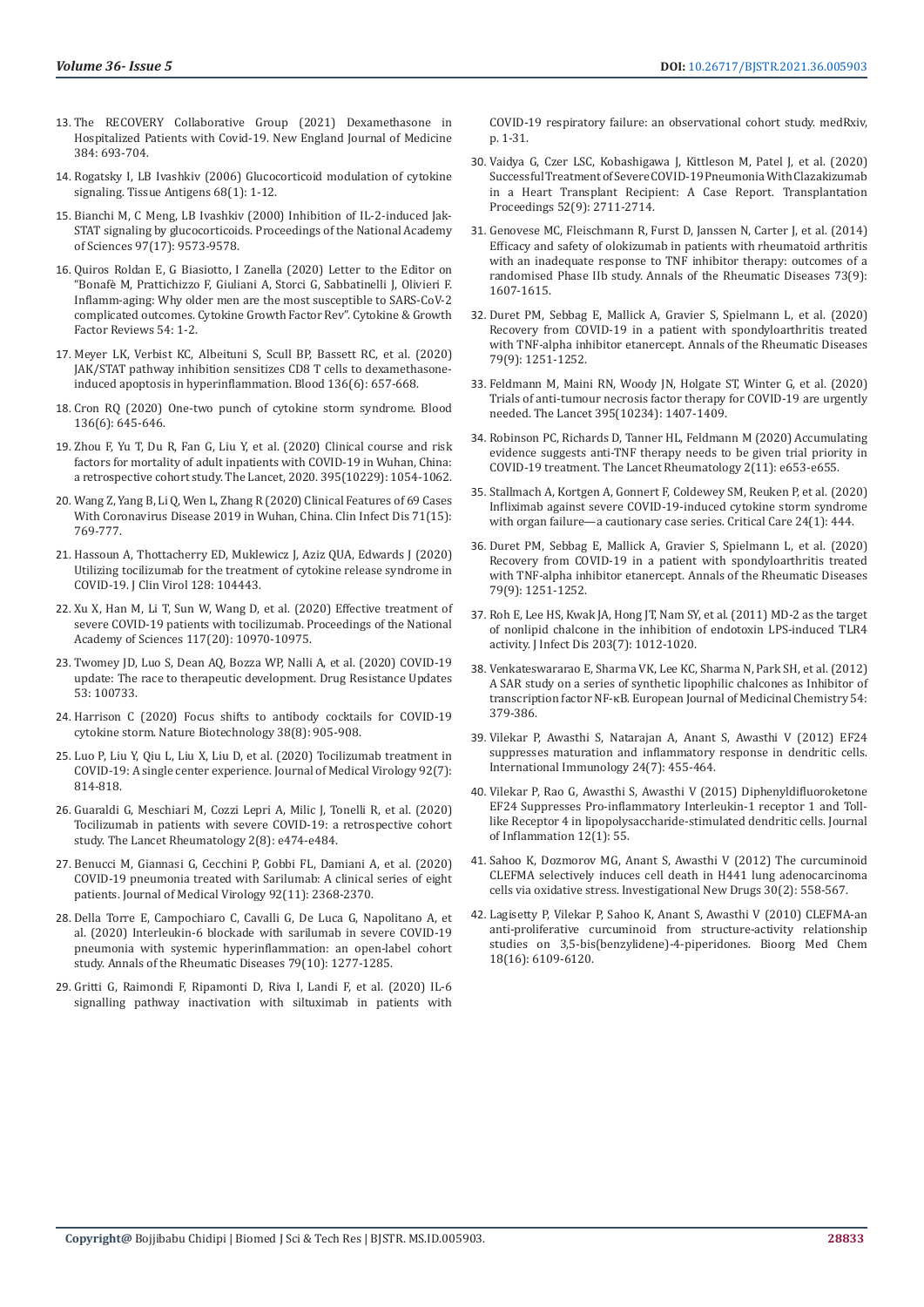- 13. [The RECOVERY Collaborative Group \(2021\) Dexamethasone in](https://www.nejm.org/doi/full/10.1056/NEJMoa2021436)  [Hospitalized Patients with Covid-19. New England Journal of Medicine](https://www.nejm.org/doi/full/10.1056/NEJMoa2021436)  [384: 693-704.](https://www.nejm.org/doi/full/10.1056/NEJMoa2021436)
- 14. [Rogatsky I, LB Ivashkiv \(2006\) Glucocorticoid modulation of cytokine](https://pubmed.ncbi.nlm.nih.gov/16774534/)  [signaling. Tissue Antigens 68\(1\): 1-12.](https://pubmed.ncbi.nlm.nih.gov/16774534/)
- 15. [Bianchi M, C Meng, LB Ivashkiv \(2000\) Inhibition of IL-2-induced Jak-](https://www.pnas.org/content/97/17/9573)[STAT signaling by glucocorticoids. Proceedings of the National Academy](https://www.pnas.org/content/97/17/9573)  [of Sciences 97\(17\): 9573-9578.](https://www.pnas.org/content/97/17/9573)
- 16. [Quiros Roldan E, G Biasiotto, I Zanella \(2020\) Letter to the Editor on](https://pubmed.ncbi.nlm.nih.gov/32522400/)  "Bonafè [M, Prattichizzo F, Giuliani A, Storci G, Sabbatinelli J, Olivieri F.](https://pubmed.ncbi.nlm.nih.gov/32522400/)  [Inflamm-aging: Why older men are the most susceptible to SARS-CoV-2](https://pubmed.ncbi.nlm.nih.gov/32522400/)  [complicated outcomes. Cytokine Growth Factor Rev". Cytokine & Growth](https://pubmed.ncbi.nlm.nih.gov/32522400/)  [Factor Reviews 54: 1-2.](https://pubmed.ncbi.nlm.nih.gov/32522400/)
- 17. [Meyer LK, Verbist KC, Albeituni S, Scull BP, Bassett RC, et al. \(2020\)](https://pubmed.ncbi.nlm.nih.gov/32530039/)  [JAK/STAT pathway inhibition sensitizes CD8 T cells to dexamethasone](https://pubmed.ncbi.nlm.nih.gov/32530039/)[induced apoptosis in hyperinflammation. Blood 136\(6\): 657-668.](https://pubmed.ncbi.nlm.nih.gov/32530039/)
- 18. [Cron RQ \(2020\) One-two punch of cytokine storm syndrome. Blood](https://pubmed.ncbi.nlm.nih.gov/32761218/)  [136\(6\): 645-646.](https://pubmed.ncbi.nlm.nih.gov/32761218/)
- 19. [Zhou F, Yu T, Du R, Fan G, Liu Y, et al. \(2020\) Clinical course and risk](https://www.thelancet.com/journals/lancet/article/PIIS0140-6736(20)30566-3/fulltext)  [factors for mortality of adult inpatients with COVID-19 in Wuhan, China:](https://www.thelancet.com/journals/lancet/article/PIIS0140-6736(20)30566-3/fulltext)  [a retrospective cohort study. The Lancet, 2020. 395\(10229\): 1054-1062.](https://www.thelancet.com/journals/lancet/article/PIIS0140-6736(20)30566-3/fulltext)
- 20. [Wang Z, Yang B, Li Q, Wen L, Zhang R \(2020\) Clinical Features of 69 Cases](https://pubmed.ncbi.nlm.nih.gov/32176772/)  [With Coronavirus Disease 2019 in Wuhan, China. Clin Infect Dis 71\(15\):](https://pubmed.ncbi.nlm.nih.gov/32176772/)  [769-777.](https://pubmed.ncbi.nlm.nih.gov/32176772/)
- 21. [Hassoun A, Thottacherry ED, Muklewicz J, Aziz QUA, Edwards J \(2020\)](https://pubmed.ncbi.nlm.nih.gov/32425661/)  [Utilizing tocilizumab for the treatment of cytokine release syndrome in](https://pubmed.ncbi.nlm.nih.gov/32425661/)  [COVID-19. J Clin Virol 128: 104443.](https://pubmed.ncbi.nlm.nih.gov/32425661/)
- 22. [Xu X, Han M, Li T, Sun W, Wang D, et al. \(2020\) Effective treatment of](https://pubmed.ncbi.nlm.nih.gov/32350134/)  [severe COVID-19 patients with tocilizumab. Proceedings of the National](https://pubmed.ncbi.nlm.nih.gov/32350134/)  [Academy of Sciences 117\(20\): 10970-10975.](https://pubmed.ncbi.nlm.nih.gov/32350134/)
- 23. [Twomey JD, Luo S, Dean AQ, Bozza WP, Nalli A, et al. \(2020\) COVID-19](https://pubmed.ncbi.nlm.nih.gov/33161277/)  [update: The race to therapeutic development. Drug Resistance Updates](https://pubmed.ncbi.nlm.nih.gov/33161277/)  [53: 100733.](https://pubmed.ncbi.nlm.nih.gov/33161277/)
- 24. [Harrison C \(2020\) Focus shifts to antibody cocktails for COVID-19](https://pubmed.ncbi.nlm.nih.gov/32760027/)  [cytokine storm. Nature Biotechnology 38\(8\): 905-908.](https://pubmed.ncbi.nlm.nih.gov/32760027/)
- 25. [Luo P, Liu Y, Qiu L, Liu X, Liu D, et al. \(2020\) Tocilizumab treatment in](https://pubmed.ncbi.nlm.nih.gov/32253759/)  [COVID-19: A single center experience. Journal of Medical Virology 92\(7\):](https://pubmed.ncbi.nlm.nih.gov/32253759/)  [814-818.](https://pubmed.ncbi.nlm.nih.gov/32253759/)
- 26. [Guaraldi G, Meschiari M, Cozzi Lepri A, Milic J, Tonelli R, et al. \(2020\)](https://pubmed.ncbi.nlm.nih.gov/32835257/)  [Tocilizumab in patients with severe COVID-19: a retrospective cohort](https://pubmed.ncbi.nlm.nih.gov/32835257/)  [study. The Lancet Rheumatology 2\(8\): e474-e484.](https://pubmed.ncbi.nlm.nih.gov/32835257/)
- 27. [Benucci M, Giannasi G, Cecchini P, Gobbi FL, Damiani A, et al. \(2020\)](https://pubmed.ncbi.nlm.nih.gov/32472703/)  [COVID-19 pneumonia treated with Sarilumab: A clinical series of eight](https://pubmed.ncbi.nlm.nih.gov/32472703/)  [patients. Journal of Medical Virology 92\(11\): 2368-2370.](https://pubmed.ncbi.nlm.nih.gov/32472703/)
- 28. [Della Torre E, Campochiaro C, Cavalli G, De Luca G, Napolitano A, et](https://ard.bmj.com/content/79/10/1277)  [al. \(2020\) Interleukin-6 blockade with sarilumab in severe COVID-19](https://ard.bmj.com/content/79/10/1277)  [pneumonia with systemic hyperinflammation: an open-label cohort](https://ard.bmj.com/content/79/10/1277)  [study. Annals of the Rheumatic Diseases 79\(10\): 1277-1285.](https://ard.bmj.com/content/79/10/1277)
- 29. [Gritti G, Raimondi F, Ripamonti D, Riva I, Landi F, et al. \(2020\) IL-6](https://www.medrxiv.org/content/10.1101/2020.04.01.20048561v4.full.pdf+html)  [signalling pathway inactivation with siltuximab in patients with](https://www.medrxiv.org/content/10.1101/2020.04.01.20048561v4.full.pdf+html)

[COVID-19 respiratory failure: an observational cohort study. medRxiv,](https://www.medrxiv.org/content/10.1101/2020.04.01.20048561v4.full.pdf+html) [p. 1-31.](https://www.medrxiv.org/content/10.1101/2020.04.01.20048561v4.full.pdf+html)

- 30. [Vaidya G, Czer LSC, Kobashigawa J, Kittleson M, Patel J, et al. \(2020\)](https://www.ncbi.nlm.nih.gov/pmc/articles/PMC7275980/) [Successful Treatment of Severe COVID-19 Pneumonia With Clazakizumab](https://www.ncbi.nlm.nih.gov/pmc/articles/PMC7275980/) [in a Heart Transplant Recipient: A Case Report. Transplantation](https://www.ncbi.nlm.nih.gov/pmc/articles/PMC7275980/) [Proceedings 52\(9\): 2711-2714.](https://www.ncbi.nlm.nih.gov/pmc/articles/PMC7275980/)
- 31. [Genovese MC, Fleischmann R, Furst D, Janssen N, Carter J, et al. \(2014\)](https://pubmed.ncbi.nlm.nih.gov/24641941/) [Efficacy and safety of olokizumab in patients with rheumatoid arthritis](https://pubmed.ncbi.nlm.nih.gov/24641941/) [with an inadequate response to TNF inhibitor therapy: outcomes of a](https://pubmed.ncbi.nlm.nih.gov/24641941/) [randomised Phase IIb study. Annals of the Rheumatic Diseases 73\(9\):](https://pubmed.ncbi.nlm.nih.gov/24641941/) [1607-1615.](https://pubmed.ncbi.nlm.nih.gov/24641941/)
- 32. [Duret PM, Sebbag E, Mallick A, Gravier S, Spielmann L, et al. \(2020\)](https://pubmed.ncbi.nlm.nih.gov/32354772/) [Recovery from COVID-19 in a patient with spondyloarthritis treated](https://pubmed.ncbi.nlm.nih.gov/32354772/) [with TNF-alpha inhibitor etanercept. Annals of the Rheumatic Diseases](https://pubmed.ncbi.nlm.nih.gov/32354772/) [79\(9\): 1251-1252.](https://pubmed.ncbi.nlm.nih.gov/32354772/)
- 33. [Feldmann M, Maini RN, Woody JN, Holgate ST, Winter G, et al. \(2020\)](https://pubmed.ncbi.nlm.nih.gov/32278362/) [Trials of anti-tumour necrosis factor therapy for COVID-19 are urgently](https://pubmed.ncbi.nlm.nih.gov/32278362/) [needed. The Lancet 395\(10234\): 1407-1409.](https://pubmed.ncbi.nlm.nih.gov/32278362/)
- 34. [Robinson PC, Richards D, Tanner HL, Feldmann M \(2020\) Accumulating](https://pubmed.ncbi.nlm.nih.gov/33521660/) [evidence suggests anti-TNF therapy needs to be given trial priority in](https://pubmed.ncbi.nlm.nih.gov/33521660/) [COVID-19 treatment. The Lancet Rheumatology 2\(11\): e653-e655.](https://pubmed.ncbi.nlm.nih.gov/33521660/)
- 35. [Stallmach A, Kortgen A, Gonnert F, Coldewey SM, Reuken P, et al. \(2020\)](https://www.ncbi.nlm.nih.gov/pmc/articles/PMC7366555/) [Infliximab against severe COVID-19-induced cytokine storm syndrome](https://www.ncbi.nlm.nih.gov/pmc/articles/PMC7366555/) [with organ failure—a cautionary case series. Critical Care 24\(1\): 444.](https://www.ncbi.nlm.nih.gov/pmc/articles/PMC7366555/)
- 36. [Duret PM, Sebbag E, Mallick A, Gravier S, Spielmann L, et al. \(2020\)](https://pubmed.ncbi.nlm.nih.gov/32354772/) [Recovery from COVID-19 in a patient with spondyloarthritis treated](https://pubmed.ncbi.nlm.nih.gov/32354772/) [with TNF-alpha inhibitor etanercept. Annals of the Rheumatic Diseases](https://pubmed.ncbi.nlm.nih.gov/32354772/) [79\(9\): 1251-1252.](https://pubmed.ncbi.nlm.nih.gov/32354772/)
- 37. [Roh E, Lee HS, Kwak JA, Hong JT, Nam SY, et al. \(2011\) MD-2 as the target](https://academic.oup.com/jid/article/203/7/1012/1036919) [of nonlipid chalcone in the inhibition of endotoxin LPS-induced TLR4](https://academic.oup.com/jid/article/203/7/1012/1036919) [activity. J Infect Dis 203\(7\): 1012-1020.](https://academic.oup.com/jid/article/203/7/1012/1036919)
- 38. [Venkateswararao E, Sharma VK, Lee KC, Sharma N, Park SH, et al. \(2012\)](https://pubmed.ncbi.nlm.nih.gov/22677029/) [A SAR study on a series of synthetic lipophilic chalcones as Inhibitor of](https://pubmed.ncbi.nlm.nih.gov/22677029/) [transcription factor NF-κB. European Journal of Medicinal Chemistry 54:](https://pubmed.ncbi.nlm.nih.gov/22677029/) [379-386.](https://pubmed.ncbi.nlm.nih.gov/22677029/)
- 39. [Vilekar P, Awasthi S, Natarajan A, Anant S, Awasthi V \(2012\) EF24](https://www.ncbi.nlm.nih.gov/pmc/articles/PMC3385421/) [suppresses maturation and inflammatory response in dendritic cells.](https://www.ncbi.nlm.nih.gov/pmc/articles/PMC3385421/) [International Immunology 24\(7\): 455-464.](https://www.ncbi.nlm.nih.gov/pmc/articles/PMC3385421/)
- 40. [Vilekar P, Rao G, Awasthi S, Awasthi V \(2015\) Diphenyldifluoroketone](https://journal-inflammation.biomedcentral.com/articles/10.1186/s12950-015-0096-x) [EF24 Suppresses Pro-inflammatory Interleukin-1 receptor 1 and Toll](https://journal-inflammation.biomedcentral.com/articles/10.1186/s12950-015-0096-x)[like Receptor 4 in lipopolysaccharide-stimulated dendritic cells. Journal](https://journal-inflammation.biomedcentral.com/articles/10.1186/s12950-015-0096-x) [of Inflammation 12\(1\): 55.](https://journal-inflammation.biomedcentral.com/articles/10.1186/s12950-015-0096-x)
- 41. [Sahoo K, Dozmorov MG, Anant S, Awasthi V \(2012\) The curcuminoid](https://pubmed.ncbi.nlm.nih.gov/21181232/) [CLEFMA selectively induces cell death in H441 lung adenocarcinoma](https://pubmed.ncbi.nlm.nih.gov/21181232/) [cells via oxidative stress. Investigational New Drugs 30\(2\): 558-567.](https://pubmed.ncbi.nlm.nih.gov/21181232/)
- 42. [Lagisetty P, Vilekar P, Sahoo K, Anant S, Awasthi V \(2010\) CLEFMA-an](https://pubmed.ncbi.nlm.nih.gov/20638855/) [anti-proliferative curcuminoid from structure-activity relationship](https://pubmed.ncbi.nlm.nih.gov/20638855/) [studies on 3,5-bis\(benzylidene\)-4-piperidones. Bioorg Med Chem](https://pubmed.ncbi.nlm.nih.gov/20638855/) [18\(16\): 6109-6120.](https://pubmed.ncbi.nlm.nih.gov/20638855/)